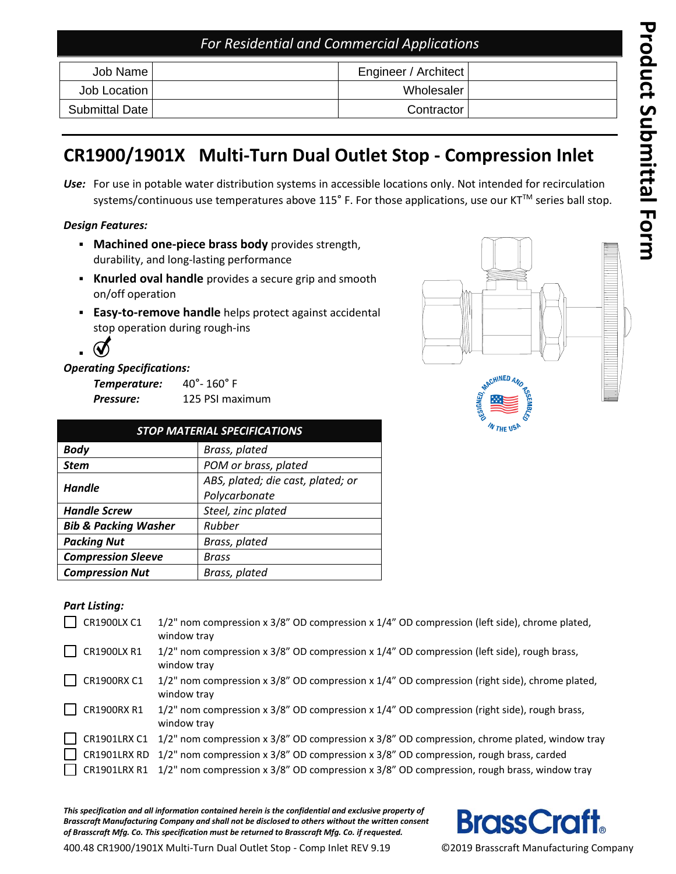## *For Residential and Commercial Applications*

| Job Name I     | Engineer / Architect |  |
|----------------|----------------------|--|
| Job Location   | Wholesaler           |  |
| Submittal Date | Contractor           |  |

# **C R1900 /1901 X Multi -Turn Dual Outlet Stop - Compression Inlet**

Use: For use in potable water distribution systems in accessible locations only. Not intended for recirculation systems/continuous use temperatures above 115° F. For those applications, use our KT™ series ball stop.

## *Design Features:*

- **Machined one-piece brass body** provides strength, durability , and long -lasting performance
- **Knurled oval handle** provides a secure grip and smooth on/off operatio n
- **Easy-to-remove handle** helps protect against accidental stop operation during rough -ins



## *Operating Specifications:*

**Temperature:** °- 160° F *Pressure:* 125 PSI maximum

| <b>STOP MATERIAL SPECIFICATIONS</b> |                                   |  |  |  |  |
|-------------------------------------|-----------------------------------|--|--|--|--|
| <b>Body</b>                         | Brass, plated                     |  |  |  |  |
| <b>Stem</b>                         | POM or brass, plated              |  |  |  |  |
| <b>Handle</b>                       | ABS, plated; die cast, plated; or |  |  |  |  |
|                                     | Polycarbonate                     |  |  |  |  |
| <b>Handle Screw</b>                 | Steel, zinc plated                |  |  |  |  |
| <b>Bib &amp; Packing Washer</b>     | Rubber                            |  |  |  |  |
| <b>Packing Nut</b>                  | Brass, plated                     |  |  |  |  |
| <b>Compression Sleeve</b>           | Brass                             |  |  |  |  |
| <b>Compression Nut</b>              | Brass, plated                     |  |  |  |  |

# MACHINED AND

## *Part Listing:*

|        | CR1900LX C1  | 1/2" nom compression x 3/8" OD compression x 1/4" OD compression (left side), chrome plated,<br>window tray           |
|--------|--------------|-----------------------------------------------------------------------------------------------------------------------|
|        | CR1900LX R1  | $1/2$ " nom compression x $3/8$ " OD compression x $1/4$ " OD compression (left side), rough brass,<br>window tray    |
|        | CR1900RX C1  | $1/2$ " nom compression x $3/8$ " OD compression x $1/4$ " OD compression (right side), chrome plated,<br>window tray |
|        | CR1900RX R1  | $1/2$ " nom compression x $3/8$ " OD compression x $1/4$ " OD compression (right side), rough brass,<br>window tray   |
| $\sim$ | CR1901LRX C1 | $1/2$ " nom compression x 3/8" OD compression x 3/8" OD compression, chrome plated, window tray                       |
|        |              | CR1901LRX RD 1/2" nom compression x 3/8" OD compression x 3/8" OD compression, rough brass, carded                    |
|        |              | CR1901LRX R1 1/2" nom compression x 3/8" OD compression x 3/8" OD compression, rough brass, window tray               |

*This specification and all information contained herein is the confidential and exclusive property of Brass craft Manufacturing Company and shall not be disclosed to others without the written consent of Brass craft Mfg. Co. This specification must be returned to Brass craft Mfg. Co. if requested.*



400.48 CR1900/1901X Multi-Turn Dual Outlet Stop - Comp Inlet REV 9.19